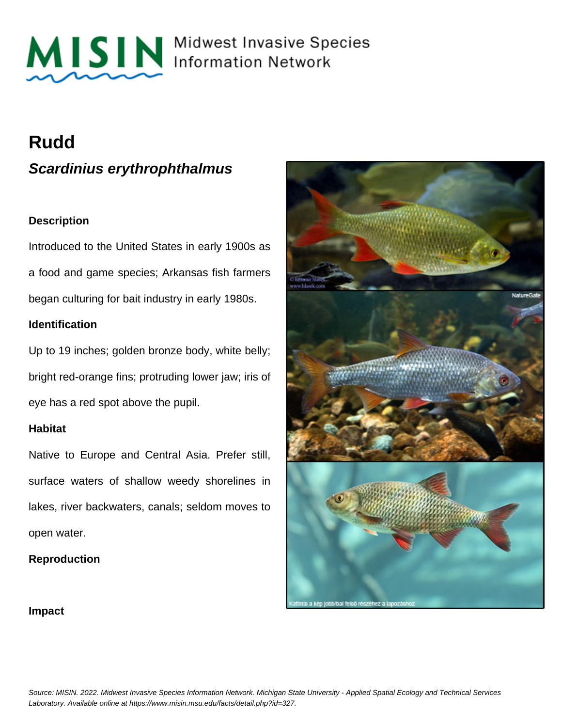

MISIN Midwest Invasive Species

## **Rudd**

**Scardinius erythrophthalmus**

## **Description**

Introduced to the United States in early 1900s as a food and game species; Arkansas fish farmers began culturing for bait industry in early 1980s.

## **Identification**

Up to 19 inches; golden bronze body, white belly; bright red-orange fins; protruding lower jaw; iris of eye has a red spot above the pupil.

## **Habitat**

Native to Europe and Central Asia. Prefer still, surface waters of shallow weedy shorelines in lakes, river backwaters, canals; seldom moves to open water.

## **Reproduction**



### **Impact**